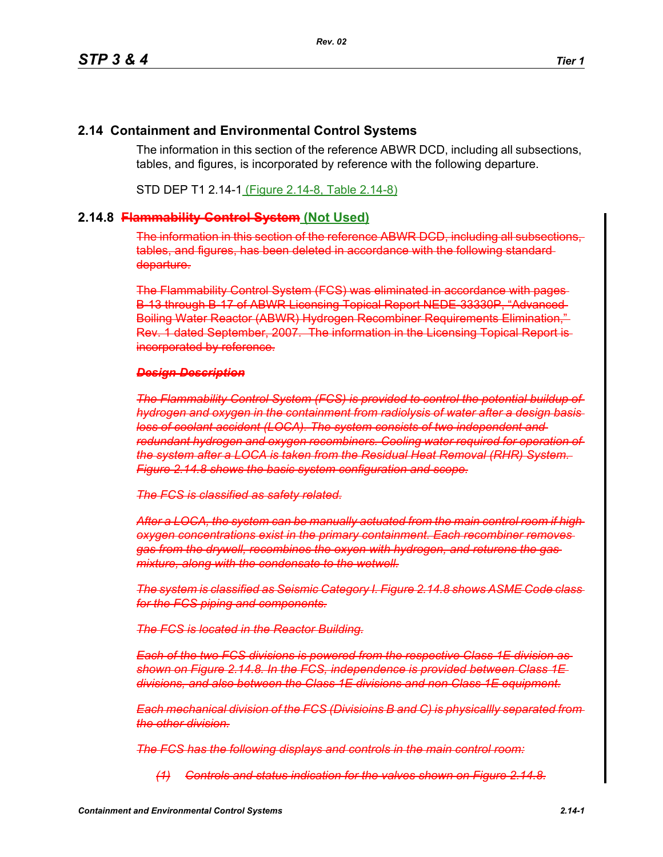# **2.14 Containment and Environmental Control Systems**

The information in this section of the reference ABWR DCD, including all subsections, tables, and figures, is incorporated by reference with the following departure.

STD DEP T1 2.14-1 (Figure 2.14-8, Table 2.14-8)

## **2.14.8 Flammability Control System (Not Used)**

The information in this section of the reference ABWR DCD, including all subsections, tables, and figures, has been deleted in accordance with the following standard departure.

The Flammability Control System (FCS) was eliminated in accordance with pages B-13 through B-17 of ABWR Licensing Topical Report NEDE-33330P, "Advanced Boiling Water Reactor (ABWR) Hydrogen Recombiner Requirements Elimination," Rev. 1 dated September, 2007. The information in the Licensing Topical Report is incorporated by reference.

## *Design Description*

*The Flammability Control System (FCS) is provided to control the potential buildup of hydrogen and oxygen in the containment from radiolysis of water after a design basis loss of coolant accident (LOCA). The system consists of two independent and redundant hydrogen and oxygen recombiners. Cooling water required for operation of the system after a LOCA is taken from the Residual Heat Removal (RHR) System. Figure 2.14.8 shows the basic system configuration and scope.*

*The FCS is classified as safety related.*

*After a LOCA, the system can be manually actuated from the main control room if high oxygen concentrations exist in the primary containment. Each recombiner removes gas from the drywell, recombines the oxyen with hydrogen, and returens the gas mixture, along with the condensate to the wetwell.*

*The system is classified as Seismic Category I. Figure 2.14.8 shows ASME Code class for the FCS piping and components.*

*The FCS is located in the Reactor Building.*

*Each of the two FCS divisions is powered from the respective Class 1E division as shown on Figure 2.14.8. In the FCS, independence is provided between Class 1E divisions, and also between the Class 1E divisions and non Class 1E equipment.*

*Each mechanical division of the FCS (Divisioins B and C) is physicallly separated from the other division.*

*The FCS has the following displays and controls in the main control room:*

*(1) Controls and status indication for the valves shown on Figure 2.14.8.*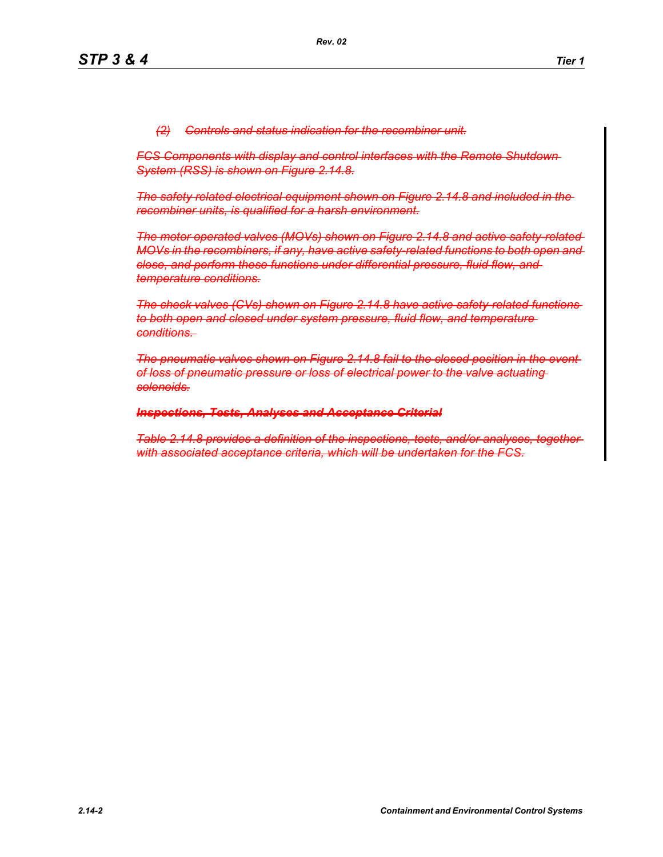*(2) Controls and status indication for the recombiner unit.*

*FCS Components with display and control interfaces with the Remote Shutdown System (RSS) is shown on Figure 2.14.8.*

*The safety related electrical equipment shown on Figure 2.14.8 and included in the recombiner units, is qualified for a harsh environment.*

*The motor operated valves (MOVs) shown on Figure 2.14.8 and active safety-related MOVs in the recombiners, if any, have active safety-related functions to both open and close, and perform these functions under differential pressure, fluid flow, and temperature conditions.*

*The check valves (CVs) shown on Figure 2.14.8 have active safety-related functions to both open and closed under system pressure, fluid flow, and temperature conditions.* 

*The pneumatic valves shown on Figure 2.14.8 fail to the closed position in the event of loss of pneumatic pressure or loss of electrical power to the valve actuating solenoids.*

#### *Inspections, Tests, Analyses and Acceptance Criterial*

*Table 2.14.8 provides a definition of the inspections, tests, and/or analyses, together with associated acceptance criteria, which will be undertaken for the FCS.*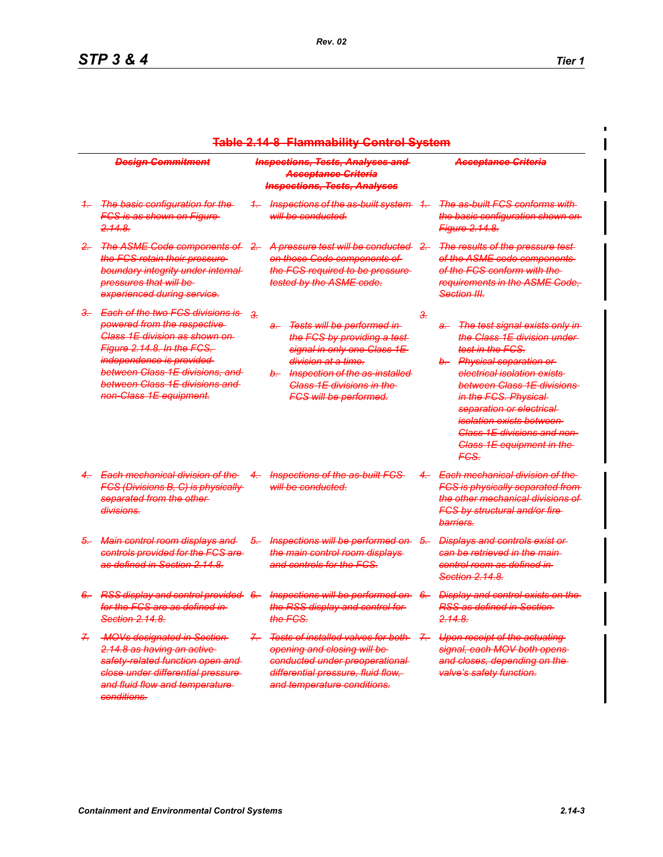$\blacksquare$ 

| <b>Table 2.14-8 Flammability Control System</b> |                                                                                                                                                                                                                                                                                                             |               |                                                                                                                                                                                                                                                     |               |                                                                                                                                                                                                                                                                                                                                                                                                                                                                           |
|-------------------------------------------------|-------------------------------------------------------------------------------------------------------------------------------------------------------------------------------------------------------------------------------------------------------------------------------------------------------------|---------------|-----------------------------------------------------------------------------------------------------------------------------------------------------------------------------------------------------------------------------------------------------|---------------|---------------------------------------------------------------------------------------------------------------------------------------------------------------------------------------------------------------------------------------------------------------------------------------------------------------------------------------------------------------------------------------------------------------------------------------------------------------------------|
|                                                 | <b>Design Commitment</b>                                                                                                                                                                                                                                                                                    |               | <b>Inspections, Tests, Analyses and</b><br>Acceptance Criteria<br><b>Inspections, Tests, Analyses</b>                                                                                                                                               |               | <del>Acceptance Criteria</del>                                                                                                                                                                                                                                                                                                                                                                                                                                            |
| $+$                                             | <b>The basic configuration for the</b><br><del>FCS is as shown on Figure</del> -<br><del>2.14.8.</del>                                                                                                                                                                                                      | $+$           | Inspections of the as-built system<br>will be conducted.                                                                                                                                                                                            | $+$           | <del>The as-built FCS conforms with-</del><br><del>the basic configuration shown on-</del><br><del>Figure 2.14.8.</del>                                                                                                                                                                                                                                                                                                                                                   |
| $\frac{1}{2}$                                   | <b>The ASME Code components of</b><br><del>the FCS retain their pressure</del><br>boundary integrity under internal<br>pressures that will be-<br>experienced during service.                                                                                                                               | $\frac{2}{2}$ | A pressure test will be conducted<br><del>on those Code components of</del><br>the FCS required to be pressure<br><del>tested by the ASME code.</del>                                                                                               | <u>2.</u>     | <del>The results of the pressure test-</del><br>of the ASME code components<br>of the FCS conform with the<br><del>requirements in the ASME Code.</del><br><del>Section III.</del>                                                                                                                                                                                                                                                                                        |
| ₹−                                              | <b>Each of the two FCS divisions is</b><br>powered from the respective<br>Class 1E division as shown on-<br><u>Figure 2.14.8. In the FCS, F</u><br><i>independence is provided</i><br><del>between Class 1E divisions, and l</del><br><del>between Class 1E divisions and </del><br>non-Class 1E equipment. | z.            | Tests will be performed in<br>a-<br>the FCS by providing a test-<br>signal in only one Class 1E<br><del>division at a time.</del><br>b-<br>Inspection of the as-installed<br><del>Class 1E divisions in the </del><br><b>FCS will be performed.</b> |               | <del>The test signal exists only in</del><br>a-<br><del>the Class 1E division under t</del><br><del>test in the FCS.</del><br>b-<br><del>Physical separation or</del><br><del>electrical isolation exists-</del><br><del>between Class 1E divisions </del><br>in the FCS. Physical-<br><del>separation or electrical-</del><br><del>isolation exists between -</del><br><del>Class 1E divisions and non-</del><br><del>Class 1E equipment in the</del><br><del>FCS.</del> |
|                                                 | Each mechanical division of the<br><b>FCS (Divisions B, C) is physically</b><br>separated from the other-<br><del>divisions.</del>                                                                                                                                                                          | 4.            | <del>Inspections of the as-built FCS</del><br>will be conducted.                                                                                                                                                                                    | $\leftarrow$  | <del>Each mechanical division of the</del><br><b>FCS is physically separated from</b><br>the other mechanical divisions of<br><b>FCS by structural and/or fire-</b><br>barriers.                                                                                                                                                                                                                                                                                          |
| ÷.                                              | Main control room displays and<br>controls provided for the FCS are-<br><del>as defined in Section 2.14.8.</del>                                                                                                                                                                                            | <del>5.</del> | Inspections will be performed on-<br>the main control room displays<br><del>and controls for the FCS.</del>                                                                                                                                         | <del>5.</del> | <del>Displays and controls exist or</del><br>can be retrieved in the main<br>control room as defined in-<br><del>Section 2.14.8.</del>                                                                                                                                                                                                                                                                                                                                    |
| <del>6.</del>                                   | <b>RSS display and control provided</b><br>for the FCS are as defined in-<br>Section 2.14.8.                                                                                                                                                                                                                | <del>6.</del> | Inspections will be performed on<br>the RSS display and control for<br><del>the FCS.</del>                                                                                                                                                          | -6            | <b>Display and control exists on the</b><br><del>RSS as defined in Section</del><br><del>2.14.8.</del>                                                                                                                                                                                                                                                                                                                                                                    |
| ÷                                               | <b>MOVs designated in Section</b><br>2.14.8 as having an active-<br>safety-related function open and<br>close under differential pressure-<br>and fluid flow and temperature-<br>conditions.                                                                                                                | $\leftarrow$  | <b>Tests of installed valves for both-</b><br>opening and closing will be-<br>conducted under preoperational<br>differential pressure, fluid flow,<br>and temperature conditions.                                                                   | $\mathcal{F}$ | Upon receipt of the actuating<br>signal, each MOV both opens-<br>and closes, depending on the-<br>valve's safety function.                                                                                                                                                                                                                                                                                                                                                |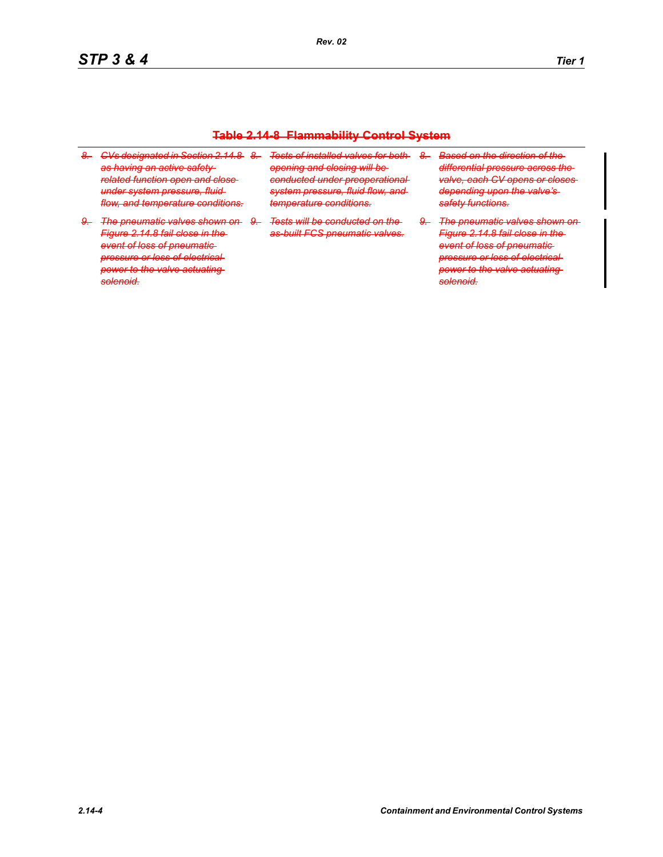#### **Table 2.14-8 Flammability Control System**

- *8. CVs designated in Section 2.14.8 8. Tests of installed valves for both as having an active safetyrelated function open and close under system pressure, fluid flow, and temperature conditions.*
- *9. The pneumatic valves shown on 9. Tests will be conducted on the Figure 2.14.8 fail close in the event of loss of pneumatic pressure or loss of electrical power to the valve actuating solenoid.*
- *opening and closing will be conducted under preoperational system pressure, fluid flow, and temperature conditions.*
	- *as-built FCS pneumatic valves.*
- *8. Based on the direction of the differential pressure across the valve, each CV opens or closes depending upon the valve's safety functions.*

*9. The pneumatic valves shown on Figure 2.14.8 fail close in the event of loss of pneumatic pressure or loss of electrical power to the valve actuating solenoid.*